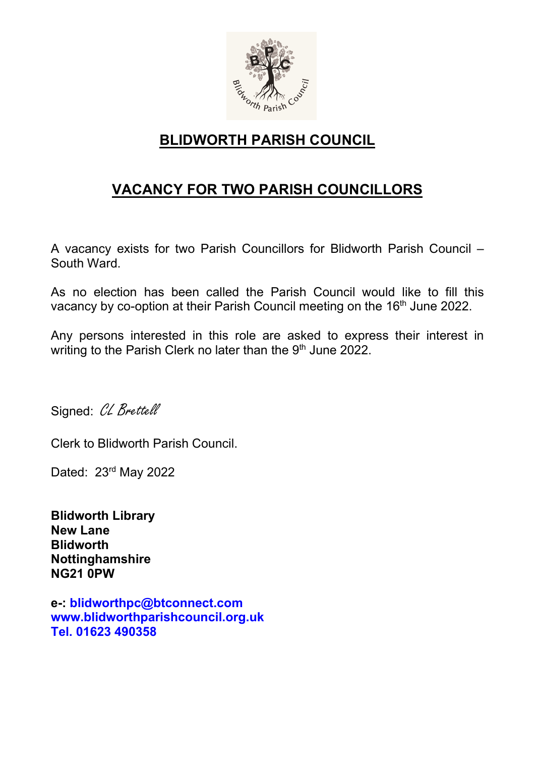

## BLIDWORTH PARISH COUNCIL

# VACANCY FOR TWO PARISH COUNCILLORS

A vacancy exists for two Parish Councillors for Blidworth Parish Council – South Ward.

As no election has been called the Parish Council would like to fill this vacancy by co-option at their Parish Council meeting on the 16<sup>th</sup> June 2022.

Any persons interested in this role are asked to express their interest in writing to the Parish Clerk no later than the 9<sup>th</sup> June 2022.

Signed: CL Brettell

Clerk to Blidworth Parish Council.

Dated: 23rd May 2022

Blidworth Library New Lane **Blidworth** Nottinghamshire NG21 0PW

e-: blidworthpc@btconnect.com www.blidworthparishcouncil.org.uk Tel. 01623 490358